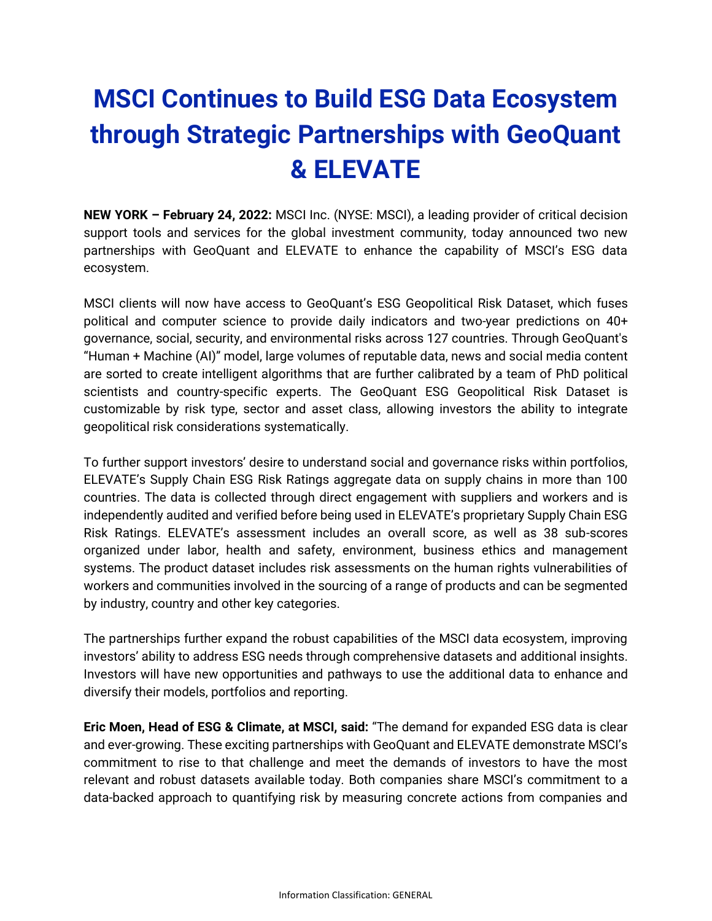# **MSCI Continues to Build ESG Data Ecosystem through Strategic Partnerships with GeoQuant & ELEVATE**

**NEW YORK – February 24, 2022:** MSCI Inc. (NYSE: MSCI), a leading provider of critical decision support tools and services for the global investment community, today announced two new partnerships with GeoQuant and ELEVATE to enhance the capability of MSCI's ESG data ecosystem.

MSCI clients will now have access to GeoQuant's ESG Geopolitical Risk Dataset, which fuses political and computer science to provide daily indicators and two-year predictions on 40+ governance, social, security, and environmental risks across 127 countries. Through GeoQuant's "Human + Machine (AI)" model, large volumes of reputable data, news and social media content are sorted to create intelligent algorithms that are further calibrated by a team of PhD political scientists and country-specific experts. The GeoQuant ESG Geopolitical Risk Dataset is customizable by risk type, sector and asset class, allowing investors the ability to integrate geopolitical risk considerations systematically.

To further support investors' desire to understand social and governance risks within portfolios, ELEVATE's Supply Chain ESG Risk Ratings aggregate data on supply chains in more than 100 countries. The data is collected through direct engagement with suppliers and workers and is independently audited and verified before being used in ELEVATE's proprietary Supply Chain ESG Risk Ratings. ELEVATE's assessment includes an overall score, as well as 38 sub-scores organized under labor, health and safety, environment, business ethics and management systems. The product dataset includes risk assessments on the human rights vulnerabilities of workers and communities involved in the sourcing of a range of products and can be segmented by industry, country and other key categories.

The partnerships further expand the robust capabilities of the MSCI data ecosystem, improving investors' ability to address ESG needs through comprehensive datasets and additional insights. Investors will have new opportunities and pathways to use the additional data to enhance and diversify their models, portfolios and reporting.

**Eric Moen, Head of ESG & Climate, at MSCI, said:** "The demand for expanded ESG data is clear and ever-growing. These exciting partnerships with GeoQuant and ELEVATE demonstrate MSCI's commitment to rise to that challenge and meet the demands of investors to have the most relevant and robust datasets available today. Both companies share MSCI's commitment to a data-backed approach to quantifying risk by measuring concrete actions from companies and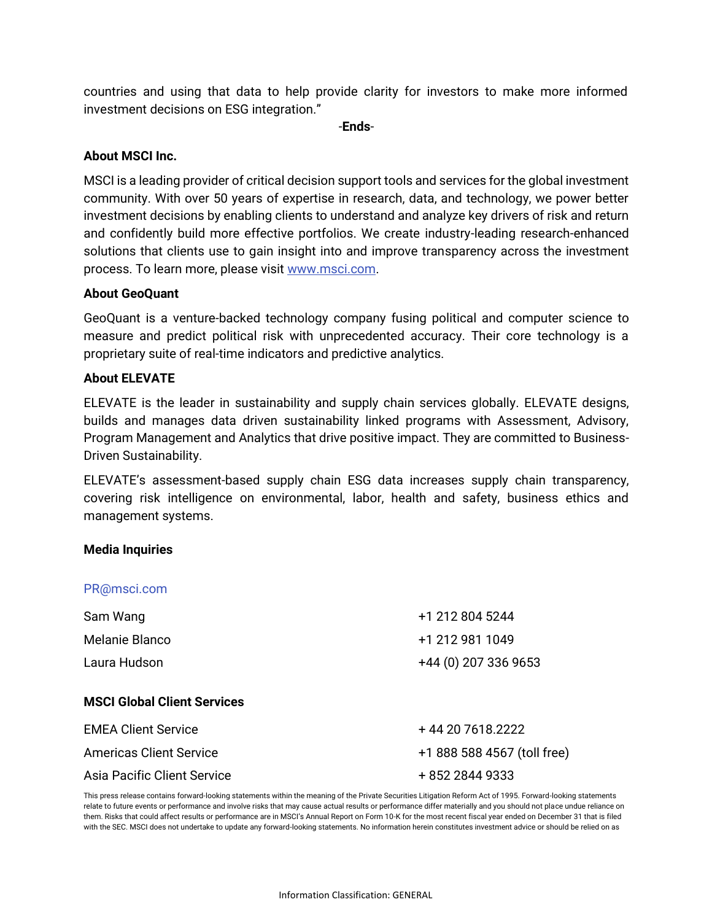countries and using that data to help provide clarity for investors to make more informed investment decisions on ESG integration."

-**Ends**-

### **About MSCI Inc.**

MSCI is a leading provider of critical decision support tools and services for the global investment community. With over 50 years of expertise in research, data, and technology, we power better investment decisions by enabling clients to understand and analyze key drivers of risk and return and confidently build more effective portfolios. We create industry-leading research-enhanced solutions that clients use to gain insight into and improve transparency across the investment process. To learn more, please visi[t](http://www.msci.com/) [www.msci.com.](http://www.msci.com/)

### **About GeoQuant**

GeoQuant is a venture-backed technology company fusing political and computer science to measure and predict political risk with unprecedented accuracy. Their core technology is a proprietary suite of real-time indicators and predictive analytics.

## **About ELEVATE**

ELEVATE is the leader in sustainability and supply chain services globally. ELEVATE designs, builds and manages data driven sustainability linked programs with Assessment, Advisory, Program Management and Analytics that drive positive impact. They are committed to Business-Driven Sustainability.

ELEVATE's assessment-based supply chain ESG data increases supply chain transparency, covering risk intelligence on environmental, labor, health and safety, business ethics and management systems.

### **Media Inquiries**

| PR@msci.com                        |                             |
|------------------------------------|-----------------------------|
| Sam Wang                           | +1 212 804 5244             |
| Melanie Blanco                     | +1 212 981 1049             |
| Laura Hudson                       | +44 (0) 207 336 9653        |
| <b>MSCI Global Client Services</b> |                             |
| <b>EMEA Client Service</b>         | +44 20 7618.2222            |
| <b>Americas Client Service</b>     | +1 888 588 4567 (toll free) |
| <b>Asia Pacific Client Service</b> | + 852 2844 9333             |
|                                    |                             |

This press release contains forward-looking statements within the meaning of the Private Securities Litigation Reform Act of 1995. Forward-looking statements relate to future events or performance and involve risks that may cause actual results or performance differ materially and you should not place undue reliance on them. Risks that could affect results or performance are in MSCI's Annual Report on Form 10-K for the most recent fiscal year ended on December 31 that is filed with the SEC. MSCI does not undertake to update any forward-looking statements. No information herein constitutes investment advice or should be relied on as